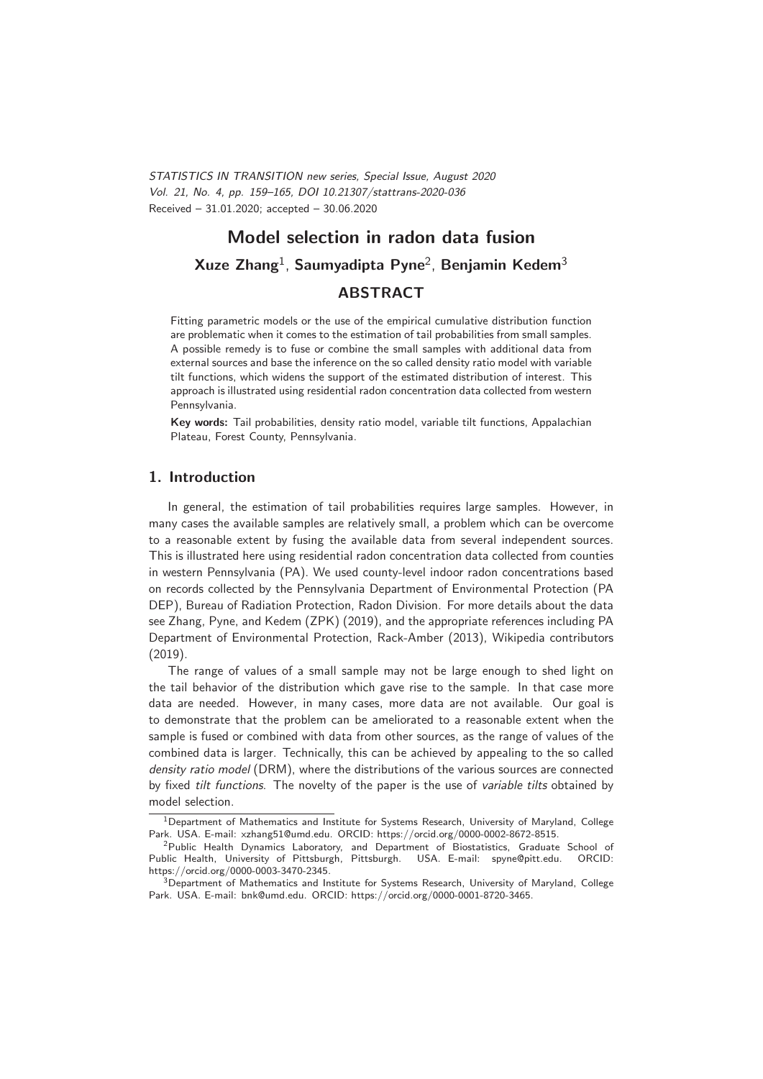STATISTICS IN TRANSITION new series, Special Issue, August 2020 Vol. 21, No. 4, pp. 159–165, DOI 10.21307/stattrans-2020-036 Received – 31.01.2020; accepted – 30.06.2020

# **Model selection in radon data fusion Xuze Zhang**1, **Saumyadipta Pyne**2, **Benjamin Kedem**<sup>3</sup> **ABSTRACT**

Fitting parametric models or the use of the empirical cumulative distribution function are problematic when it comes to the estimation of tail probabilities from small samples. A possible remedy is to fuse or combine the small samples with additional data from external sources and base the inference on the so called density ratio model with variable tilt functions, which widens the support of the estimated distribution of interest. This approach is illustrated using residential radon concentration data collected from western Pennsylvania.

**Key words:** Tail probabilities, density ratio model, variable tilt functions, Appalachian Plateau, Forest County, Pennsylvania.

## **1. Introduction**

In general, the estimation of tail probabilities requires large samples. However, in many cases the available samples are relatively small, a problem which can be overcome to a reasonable extent by fusing the available data from several independent sources. This is illustrated here using residential radon concentration data collected from counties in western Pennsylvania (PA). We used county-level indoor radon concentrations based on records collected by the Pennsylvania Department of Environmental Protection (PA DEP), Bureau of Radiation Protection, Radon Division. For more details about the data see Zhang, Pyne, and Kedem (ZPK) (2019), and the appropriate references including PA Department of Environmental Protection, Rack-Amber (2013), Wikipedia contributors (2019).

The range of values of a small sample may not be large enough to shed light on the tail behavior of the distribution which gave rise to the sample. In that case more data are needed. However, in many cases, more data are not available. Our goal is to demonstrate that the problem can be ameliorated to a reasonable extent when the sample is fused or combined with data from other sources, as the range of values of the combined data is larger. Technically, this can be achieved by appealing to the so called density ratio model (DRM), where the distributions of the various sources are connected by fixed tilt functions. The novelty of the paper is the use of variable tilts obtained by model selection.

<sup>&</sup>lt;sup>1</sup>Department of Mathematics and Institute for Systems Research, University of Maryland, College Park. USA. E-mail: xzhang51@umd.edu. ORCID: https://orcid.org/0000-0002-8672-8515.

<sup>&</sup>lt;sup>2</sup>Public Health Dynamics Laboratory, and Department of Biostatistics, Graduate School of Public Health, University of Pittsburgh, Pittsburgh. USA. E-mail: spyne@pitt.edu. ORCID: https://orcid.org/0000-0003-3470-2345.

 $3$ Department of Mathematics and Institute for Systems Research, University of Maryland, College Park. USA. E-mail: bnk@umd.edu. ORCID: https://orcid.org/0000-0001-8720-3465.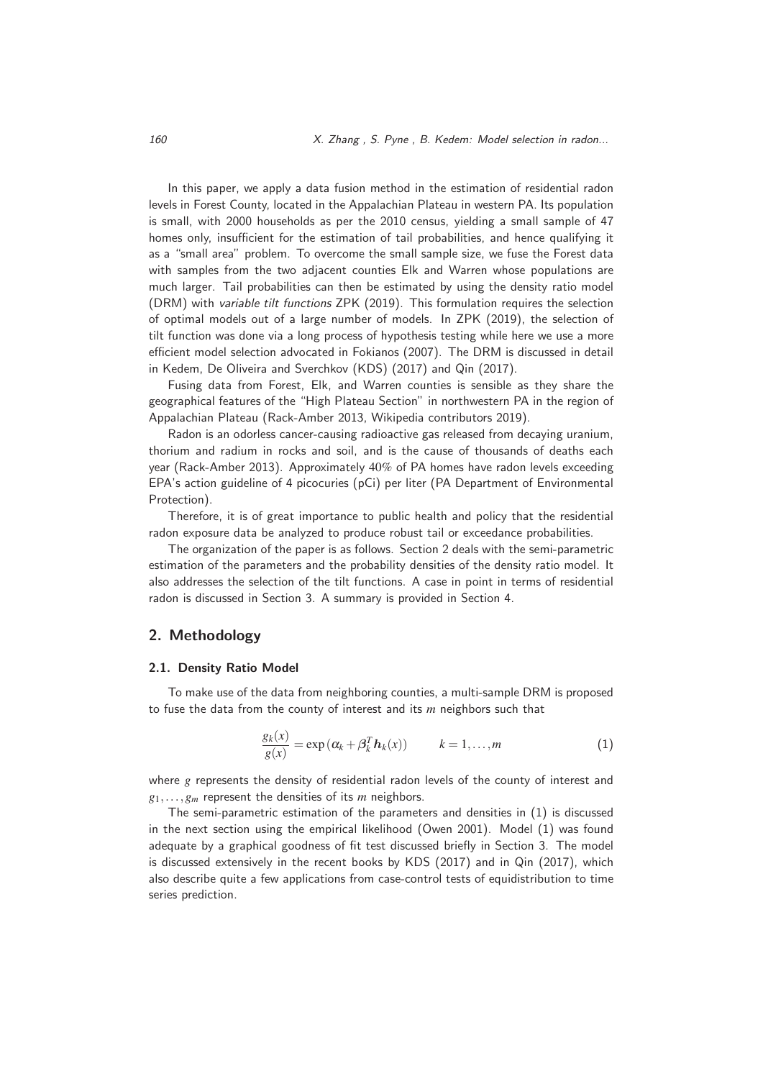In this paper, we apply a data fusion method in the estimation of residential radon levels in Forest County, located in the Appalachian Plateau in western PA. Its population is small, with 2000 households as per the 2010 census, yielding a small sample of 47 homes only, insufficient for the estimation of tail probabilities, and hence qualifying it as a "small area" problem. To overcome the small sample size, we fuse the Forest data with samples from the two adjacent counties Elk and Warren whose populations are much larger. Tail probabilities can then be estimated by using the density ratio model (DRM) with variable tilt functions ZPK (2019). This formulation requires the selection of optimal models out of a large number of models. In ZPK (2019), the selection of tilt function was done via a long process of hypothesis testing while here we use a more efficient model selection advocated in Fokianos (2007). The DRM is discussed in detail in Kedem, De Oliveira and Sverchkov (KDS) (2017) and Qin (2017).

Fusing data from Forest, Elk, and Warren counties is sensible as they share the geographical features of the "High Plateau Section" in northwestern PA in the region of Appalachian Plateau (Rack-Amber 2013, Wikipedia contributors 2019).

Radon is an odorless cancer-causing radioactive gas released from decaying uranium, thorium and radium in rocks and soil, and is the cause of thousands of deaths each year (Rack-Amber 2013). Approximately 40% of PA homes have radon levels exceeding EPA's action guideline of 4 picocuries (pCi) per liter (PA Department of Environmental Protection).

Therefore, it is of great importance to public health and policy that the residential radon exposure data be analyzed to produce robust tail or exceedance probabilities.

The organization of the paper is as follows. Section 2 deals with the semi-parametric estimation of the parameters and the probability densities of the density ratio model. It also addresses the selection of the tilt functions. A case in point in terms of residential radon is discussed in Section 3. A summary is provided in Section 4.

## **2. Methodology**

#### **2.1. Density Ratio Model**

To make use of the data from neighboring counties, a multi-sample DRM is proposed to fuse the data from the county of interest and its *m* neighbors such that

$$
\frac{g_k(x)}{g(x)} = \exp(\alpha_k + \beta_k^T \mathbf{h}_k(x)) \qquad k = 1, ..., m
$$
 (1)

where *g* represents the density of residential radon levels of the county of interest and *<sup>g</sup>*1,...,*gm* represent the densities of its *<sup>m</sup>* neighbors.

The semi-parametric estimation of the parameters and densities in (1) is discussed in the next section using the empirical likelihood (Owen 2001). Model (1) was found adequate by a graphical goodness of fit test discussed briefly in Section 3. The model is discussed extensively in the recent books by KDS (2017) and in Qin (2017), which also describe quite a few applications from case-control tests of equidistribution to time series prediction.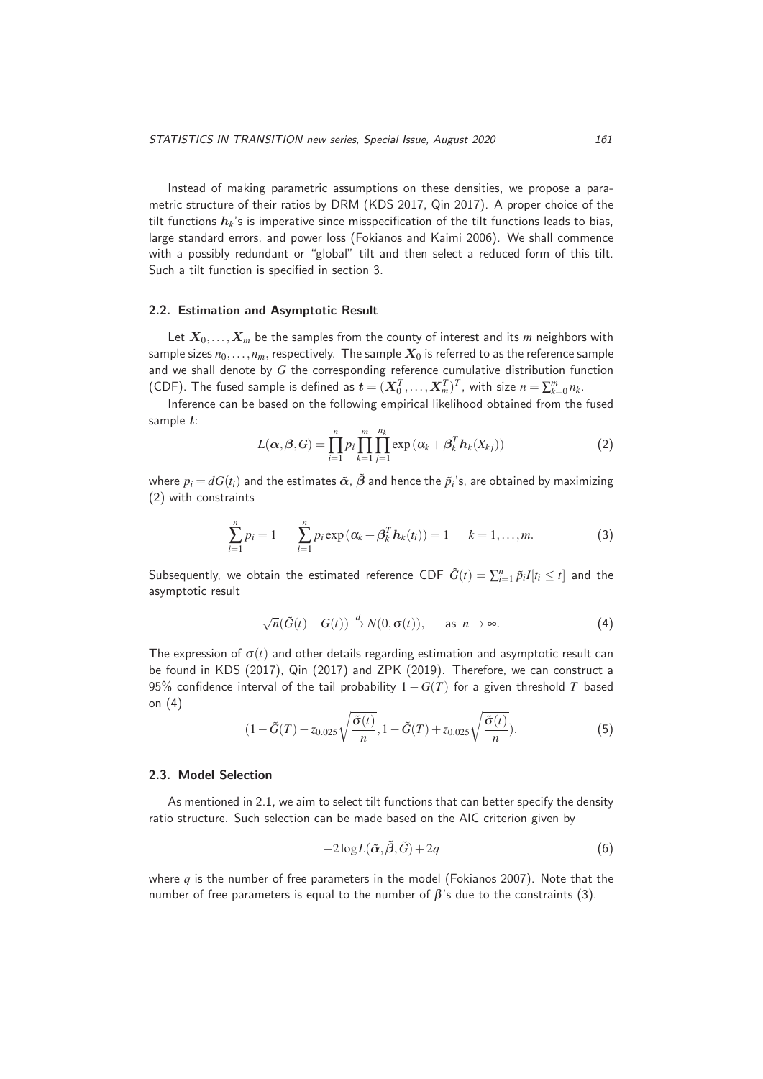Instead of making parametric assumptions on these densities, we propose a parametric structure of their ratios by DRM (KDS 2017, Qin 2017). A proper choice of the tilt functions *hk*'s is imperative since misspecification of the tilt functions leads to bias, large standard errors, and power loss (Fokianos and Kaimi 2006). We shall commence with a possibly redundant or "global" tilt and then select a reduced form of this tilt. Such a tilt function is specified in section 3.

#### **2.2. Estimation and Asymptotic Result**

Let  $X_0, \ldots, X_m$  be the samples from the county of interest and its *m* neighbors with sample sizes  $n_0, \ldots, n_m$ , respectively. The sample  $X_0$  is referred to as the reference sample and we shall denote by *G* the corresponding reference cumulative distribution function (CDF). The fused sample is defined as  $\mathbf{t} = (\mathbf{X}_0^T, \dots, \mathbf{X}_m^T)^T$ , with size  $n = \sum_{k=0}^m n_k$ .<br>Informate one has been on the following empirical limitized shipped from the

Inference can be based on the following empirical likelihood obtained from the fused sample *t*:

$$
L(\boldsymbol{\alpha},\boldsymbol{\beta},G)=\prod_{i=1}^{n}p_{i}\prod_{k=1}^{m}\prod_{j=1}^{n_{k}}\exp\left(\alpha_{k}+\beta_{k}^{T}\boldsymbol{h}_{k}(X_{kj})\right)
$$
(2)

where  $p_i = dG(t_i)$  and the estimates  $\tilde{\alpha}$ ,  $\tilde{\beta}$  and hence the  $\tilde{p}_i$ 's, are obtained by maximizing (2) with constraints

$$
\sum_{i=1}^{n} p_i = 1 \qquad \sum_{i=1}^{n} p_i \exp(\alpha_k + \beta_k^T h_k(t_i)) = 1 \qquad k = 1, ..., m.
$$
 (3)

Subsequently, we obtain the estimated reference CDF  $\tilde{G}(t) = \sum_{i=1}^{n} \tilde{p}_i I[t_i \le t]$  and the asymptotic result

$$
\sqrt{n}(\tilde{G}(t) - G(t)) \stackrel{d}{\to} N(0, \sigma(t)), \quad \text{as } n \to \infty.
$$
 (4)

The expression of  $\sigma(t)$  and other details regarding estimation and asymptotic result can be found in KDS (2017), Qin (2017) and ZPK (2019). Therefore, we can construct a 95% confidence interval of the tail probability 1−*G*(*T*) for a given threshold *<sup>T</sup>* based on (4)

$$
(1 - \tilde{G}(T) - z_{0.025}\sqrt{\frac{\tilde{\sigma}(t)}{n}}, 1 - \tilde{G}(T) + z_{0.025}\sqrt{\frac{\tilde{\sigma}(t)}{n}}).
$$
\n
$$
(5)
$$

#### **2.3. Model Selection**

As mentioned in 2.1, we aim to select tilt functions that can better specify the density ratio structure. Such selection can be made based on the AIC criterion given by

$$
-2\log L(\tilde{\alpha}, \tilde{\beta}, \tilde{G}) + 2q \tag{6}
$$

where *q* is the number of free parameters in the model (Fokianos 2007). Note that the number of free parameters is equal to the number of  $\beta$ 's due to the constraints (3).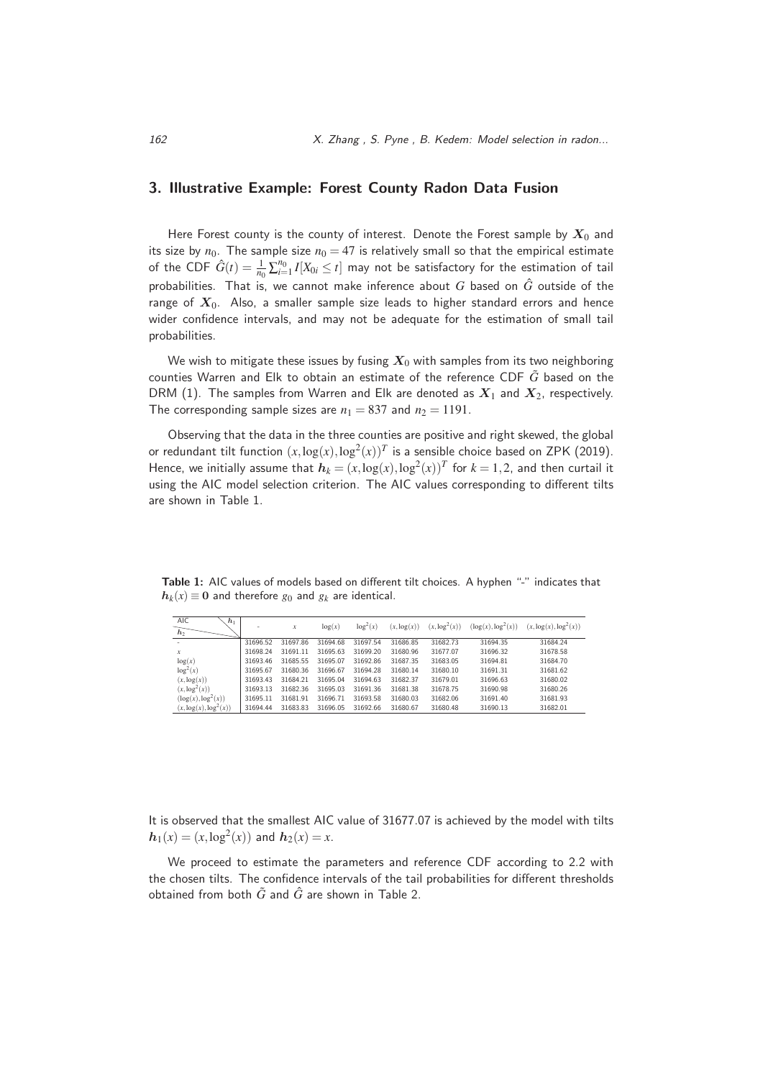## **3. Illustrative Example: Forest County Radon Data Fusion**

Here Forest county is the county of interest. Denote the Forest sample by  $X_0$  and its size by  $n_0$ . The sample size  $n_0 = 47$  is relatively small so that the empirical estimate of the CDF  $\hat{G}(t) = \frac{1}{n_0} \sum_{i=1}^{n_0} I[X_{0i} \le t]$  may not be satisfactory for the estimation of tail probabilities. That is, we cannot make inference about *<sup>G</sup>* based on *<sup>G</sup>*<sup>ˆ</sup> outside of the range of  $X_0$ . Also, a smaller sample size leads to higher standard errors and hence wider confidence intervals, and may not be adequate for the estimation of small tail probabilities.

We wish to mitigate these issues by fusing  $X_0$  with samples from its two neighboring counties Warren and Elk to obtain an estimate of the reference CDF *<sup>G</sup>*˜ based on the DRM (1). The samples from Warren and Elk are denoted as *<sup>X</sup>*1 and *<sup>X</sup>*2, respectively. The corresponding sample sizes are  $n_1 = 837$  and  $n_2 = 1191$ .

Observing that the data in the three counties are positive and right skewed, the global or redundant tilt function  $(x, \log(x), \log^2(x))^T$  is a sensible choice based on ZPK (2019). Hence, we initially assume that  $h_k = (x, \log(x), \log^2(x))^T$  for  $k = 1, 2$ , and then curtail it using the AIC model selection criterion. The AIC values corresponding to different tilts are shown in Table 1.

Table 1: AIC values of models based on different tilt choices. A hyphen "-" indicates that  $h_k(x) \equiv 0$  and therefore  $g_0$  and  $g_k$  are identical.

| <b>AIC</b><br>$h_1$<br>h <sub>2</sub> | ۰        | x        | log(x)   | $\log^2(x)$ | $(x, \log(x))$ | $(x, \log^2(x))$ | (log(x), log <sup>2</sup> (x)) | $(x, \log(x), \log^2(x))$ |
|---------------------------------------|----------|----------|----------|-------------|----------------|------------------|--------------------------------|---------------------------|
|                                       | 31696.52 | 31697.86 | 31694.68 | 31697.54    | 31686.85       | 31682.73         | 31694.35                       | 31684.24                  |
| $\boldsymbol{x}$                      | 31698.24 | 31691.11 | 31695.63 | 31699.20    | 31680.96       | 31677.07         | 31696.32                       | 31678.58                  |
| log(x)                                | 31693.46 | 31685.55 | 31695.07 | 31692.86    | 31687.35       | 31683.05         | 31694.81                       | 31684.70                  |
| log <sup>2</sup> (x)                  | 31695.67 | 31680.36 | 31696.67 | 31694.28    | 31680.14       | 31680.10         | 31691.31                       | 31681.62                  |
| $(x, \log(x))$                        | 31693.43 | 31684.21 | 31695.04 | 31694.63    | 31682.37       | 31679.01         | 31696.63                       | 31680.02                  |
| $(x, \log^2(x))$                      | 31693.13 | 31682.36 | 31695.03 | 31691.36    | 31681.38       | 31678.75         | 31690.98                       | 31680.26                  |
| $(\log(x), \log^2(x))$                | 31695.11 | 31681.91 | 31696.71 | 31693.58    | 31680.03       | 31682.06         | 31691.40                       | 31681.93                  |
| $(x, \log(x), \log^{2}(x))$           | 31694.44 | 31683.83 | 31696.05 | 31692.66    | 31680.67       | 31680.48         | 31690.13                       | 31682.01                  |
|                                       |          |          |          |             |                |                  |                                |                           |

It is observed that the smallest AIC value of 31677.07 is achieved by the model with tilts  $h_1(x) = (x, \log^2(x))$  and  $h_2(x) = x$ .

We proceed to estimate the parameters and reference CDF according to 2.2 with the chosen tilts. The confidence intervals of the tail probabilities for different thresholds obtained from both  $\tilde{G}$  and  $\hat{G}$  are shown in Table 2.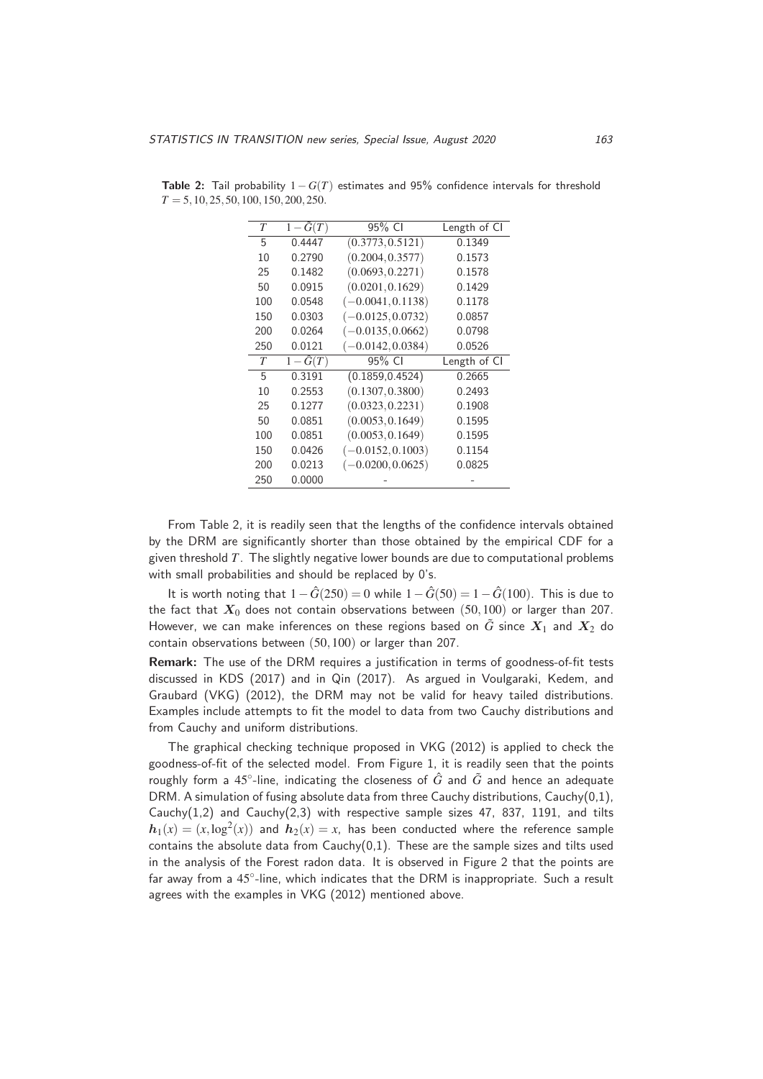| $\tau$ | $1-G(T)$                  | 95% CI              | Length of CI |
|--------|---------------------------|---------------------|--------------|
| 5      | 0.4447                    | (0.3773, 0.5121)    | 0.1349       |
| 10     | 0.2790                    | (0.2004, 0.3577)    | 0.1573       |
| 25     | 0.1482                    | (0.0693, 0.2271)    | 0.1578       |
| 50     | 0.0915                    | (0.0201, 0.1629)    | 0.1429       |
| 100    | 0.0548                    | $(-0.0041, 0.1138)$ | 0.1178       |
| 150    | 0.0303                    | $(-0.0125, 0.0732)$ | 0.0857       |
| 200    | 0.0264                    | $(-0.0135, 0.0662)$ | 0.0798       |
| 250    | 0.0121                    | $(-0.0142, 0.0384)$ | 0.0526       |
| T      | $\overline{1-\hat{G}(T)}$ | 95% CI              | Length of CI |
| 5      | 0.3191                    | (0.1859, 0.4524)    | 0.2665       |
| 10     | 0.2553                    | (0.1307, 0.3800)    | 0.2493       |
| 25     | 0.1277                    | (0.0323, 0.2231)    | 0.1908       |
| 50     | 0.0851                    | (0.0053, 0.1649)    | 0.1595       |
| 100    | 0.0851                    | (0.0053, 0.1649)    | 0.1595       |
| 150    | 0.0426                    | $(-0.0152, 0.1003)$ | 0.1154       |
| 200    | 0.0213                    | $(-0.0200, 0.0625)$ | 0.0825       |
| 250    | 0.0000                    |                     |              |

**Table 2:** Tail probability 1−*G*(*T*) estimates and 95% confidence intervals for threshold *<sup>T</sup>* <sup>=</sup> 5,10,25,50,100,150,200,250.

From Table 2, it is readily seen that the lengths of the confidence intervals obtained by the DRM are significantly shorter than those obtained by the empirical CDF for a given threshold *T*. The slightly negative lower bounds are due to computational problems with small probabilities and should be replaced by 0's.

It is worth noting that  $1-\hat{G}(250) = 0$  while  $1-\hat{G}(50) = 1-\hat{G}(100)$ . This is due to the fact that  $X_0$  does not contain observations between (50,100) or larger than 207. However, we can make inferences on these regions based on  $\tilde{G}$  since  $X_1$  and  $X_2$  do contain observations between (50,100) or larger than 207.

**Remark:** The use of the DRM requires a justification in terms of goodness-of-fit tests discussed in KDS (2017) and in Qin (2017). As argued in Voulgaraki, Kedem, and Graubard (VKG) (2012), the DRM may not be valid for heavy tailed distributions. Examples include attempts to fit the model to data from two Cauchy distributions and from Cauchy and uniform distributions.

The graphical checking technique proposed in VKG (2012) is applied to check the goodness-of-fit of the selected model. From Figure 1, it is readily seen that the points roughly form a 45<sup>°</sup>-line, indicating the closeness of  $\hat{G}$  and  $\tilde{G}$  and hence an adequate DRM. A simulation of fusing absolute data from three Cauchy distributions, Cauchy(0,1), Cauchy $(1,2)$  and Cauchy $(2,3)$  with respective sample sizes 47, 837, 1191, and tilts  $h_1(x) = (x, \log^2(x))$  and  $h_2(x) = x$ , has been conducted where the reference sample contains the absolute data from  $Cauchy(0,1)$ . These are the sample sizes and tilts used in the analysis of the Forest radon data. It is observed in Figure 2 that the points are far away from a 45°-line, which indicates that the DRM is inappropriate. Such a result agrees with the examples in VKG (2012) mentioned above.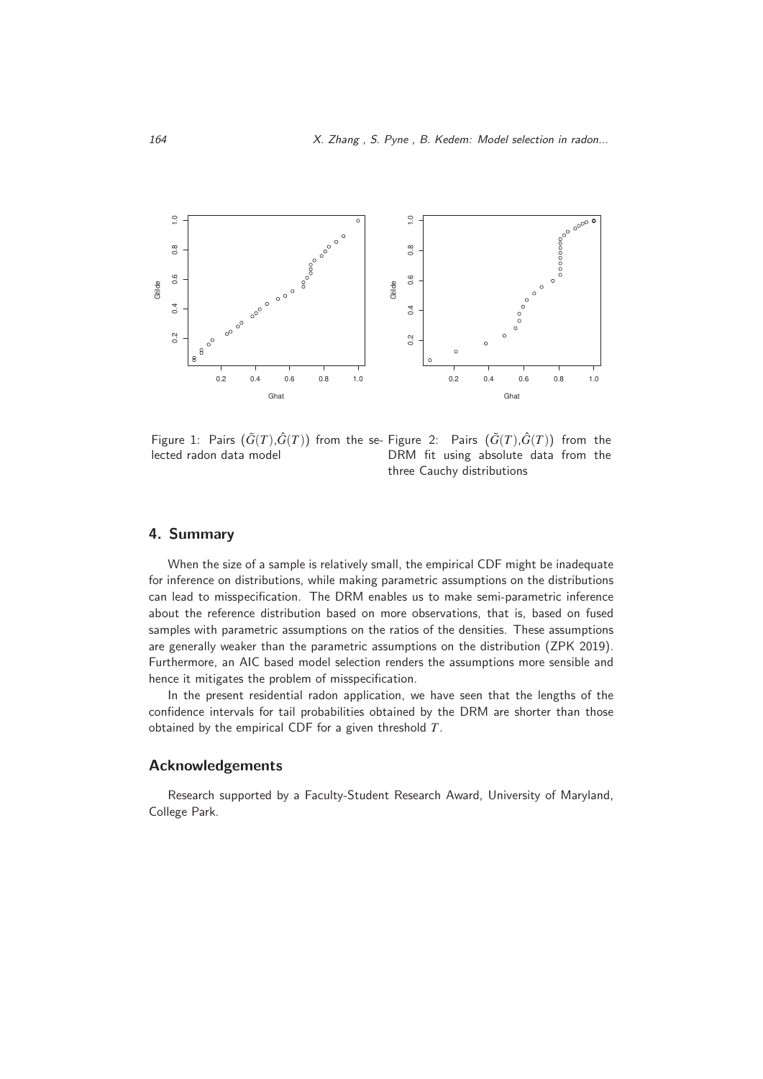

Figure 1: Pairs  $(\tilde{G}(T), \hat{G}(T))$  from the se-Figure 2: Pairs  $(\tilde{G}(T), \hat{G}(T))$  from the lected radon data model DRM fit using absolute data from the three Cauchy distributions

### **4. Summary**

When the size of a sample is relatively small, the empirical CDF might be inadequate for inference on distributions, while making parametric assumptions on the distributions can lead to misspecification. The DRM enables us to make semi-parametric inference about the reference distribution based on more observations, that is, based on fused samples with parametric assumptions on the ratios of the densities. These assumptions are generally weaker than the parametric assumptions on the distribution (ZPK 2019). Furthermore, an AIC based model selection renders the assumptions more sensible and hence it mitigates the problem of misspecification.

In the present residential radon application, we have seen that the lengths of the confidence intervals for tail probabilities obtained by the DRM are shorter than those obtained by the empirical CDF for a given threshold *T*.

## **Acknowledgements**

Research supported by a Faculty-Student Research Award, University of Maryland, College Park.